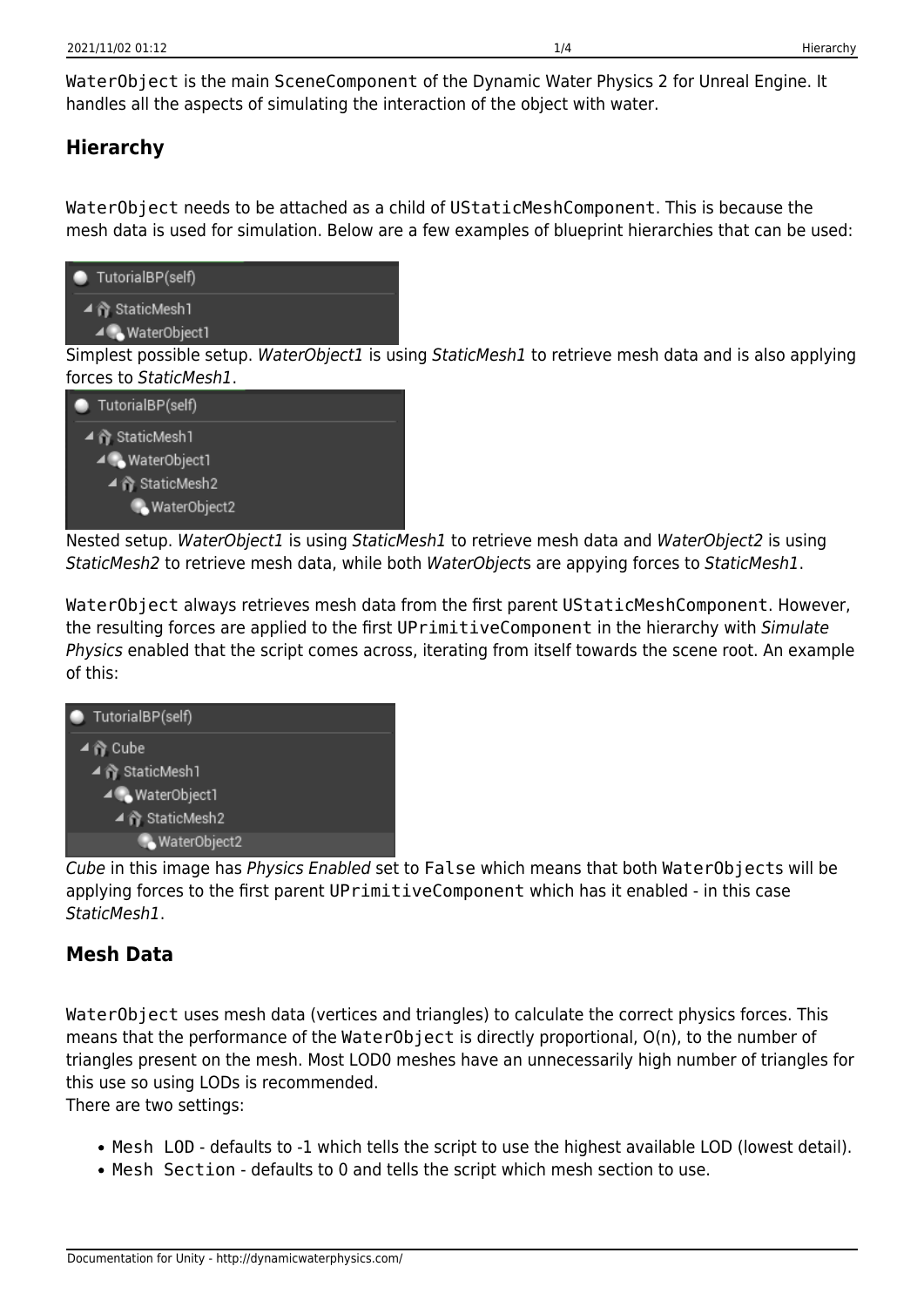WaterObject is the main SceneComponent of the Dynamic Water Physics 2 for Unreal Engine. It handles all the aspects of simulating the interaction of the object with water.

### **Hierarchy**

WaterObject needs to be attached as a child of UStaticMeshComponent. This is because the mesh data is used for simulation. Below are a few examples of blueprint hierarchies that can be used:



Simplest possible setup. WaterObject1 is using StaticMesh1 to retrieve mesh data and is also applying forces to StaticMesh1.



Nested setup. WaterObject1 is using StaticMesh1 to retrieve mesh data and WaterObject2 is using StaticMesh2 to retrieve mesh data, while both WaterObjects are appying forces to StaticMesh1.

WaterObject always retrieves mesh data from the first parent UStaticMeshComponent. However, the resulting forces are applied to the first UPrimitiveComponent in the hierarchy with Simulate Physics enabled that the script comes across, iterating from itself towards the scene root. An example of this:



Cube in this image has Physics Enabled set to False which means that both WaterObjects will be applying forces to the first parent UPrimitiveComponent which has it enabled - in this case StaticMesh1.

# **Mesh Data**

WaterObject uses mesh data (vertices and triangles) to calculate the correct physics forces. This means that the performance of the WaterObject is directly proportional, O(n), to the number of triangles present on the mesh. Most LOD0 meshes have an unnecessarily high number of triangles for this use so using LODs is recommended.

There are two settings:

- Mesh LOD defaults to -1 which tells the script to use the highest available LOD (lowest detail).
- Mesh Section defaults to 0 and tells the script which mesh section to use.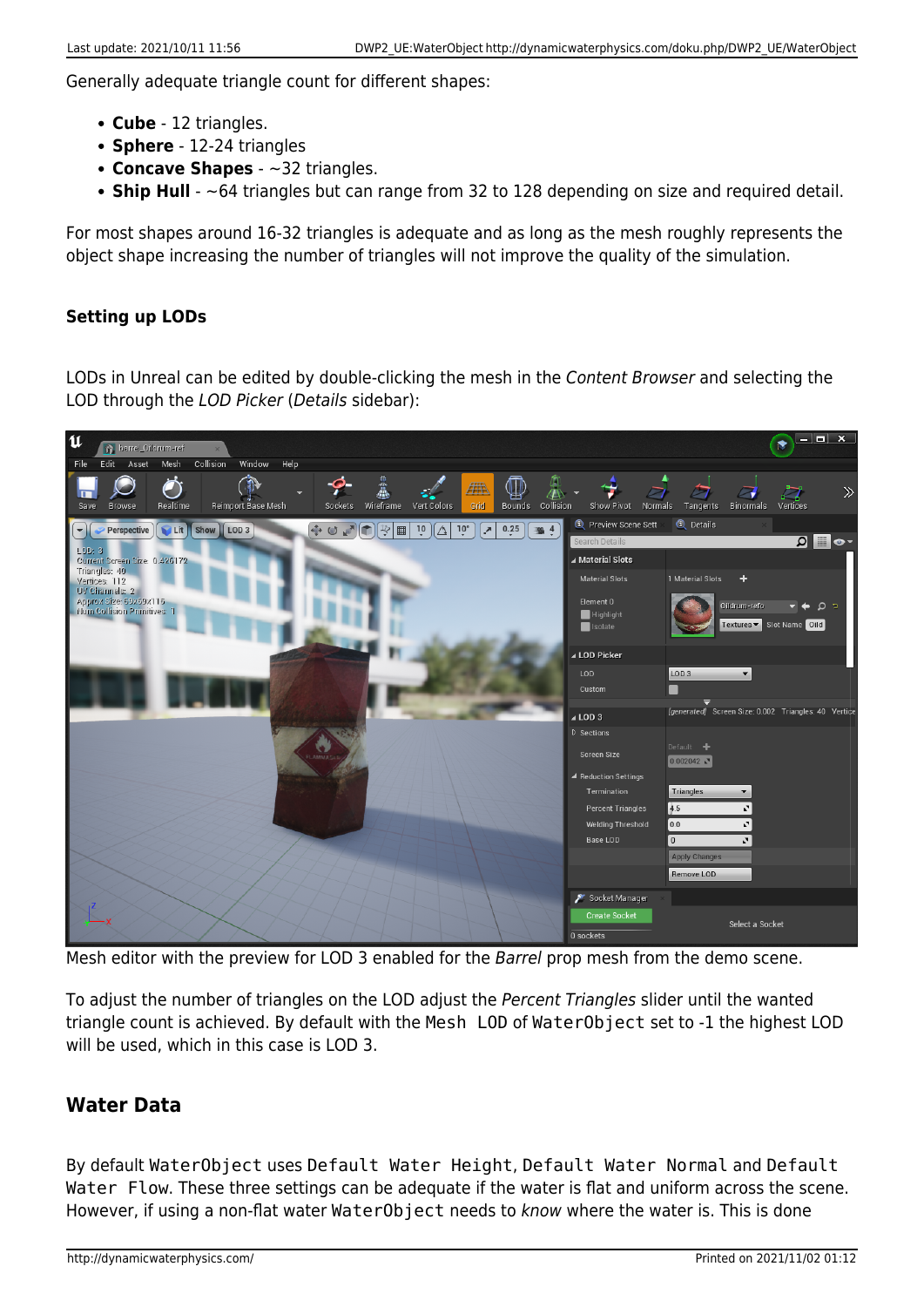Generally adequate triangle count for different shapes:

- **Cube** 12 triangles.
- **Sphere** 12-24 triangles
- **Concave Shapes** ~32 triangles.
- **Ship Hull** ~64 triangles but can range from 32 to 128 depending on size and required detail.

For most shapes around 16-32 triangles is adequate and as long as the mesh roughly represents the object shape increasing the number of triangles will not improve the quality of the simulation.

### **Setting up LODs**

LODs in Unreal can be edited by double-clicking the mesh in the Content Browser and selecting the LOD through the LOD Picker (Details sidebar):



Mesh editor with the preview for LOD 3 enabled for the Barrel prop mesh from the demo scene.

To adjust the number of triangles on the LOD adjust the Percent Triangles slider until the wanted triangle count is achieved. By default with the Mesh LOD of WaterObject set to -1 the highest LOD will be used, which in this case is LOD 3.

### **Water Data**

By default WaterObject uses Default Water Height, Default Water Normal and Default Water Flow. These three settings can be adequate if the water is flat and uniform across the scene. However, if using a non-flat water WaterObject needs to know where the water is. This is done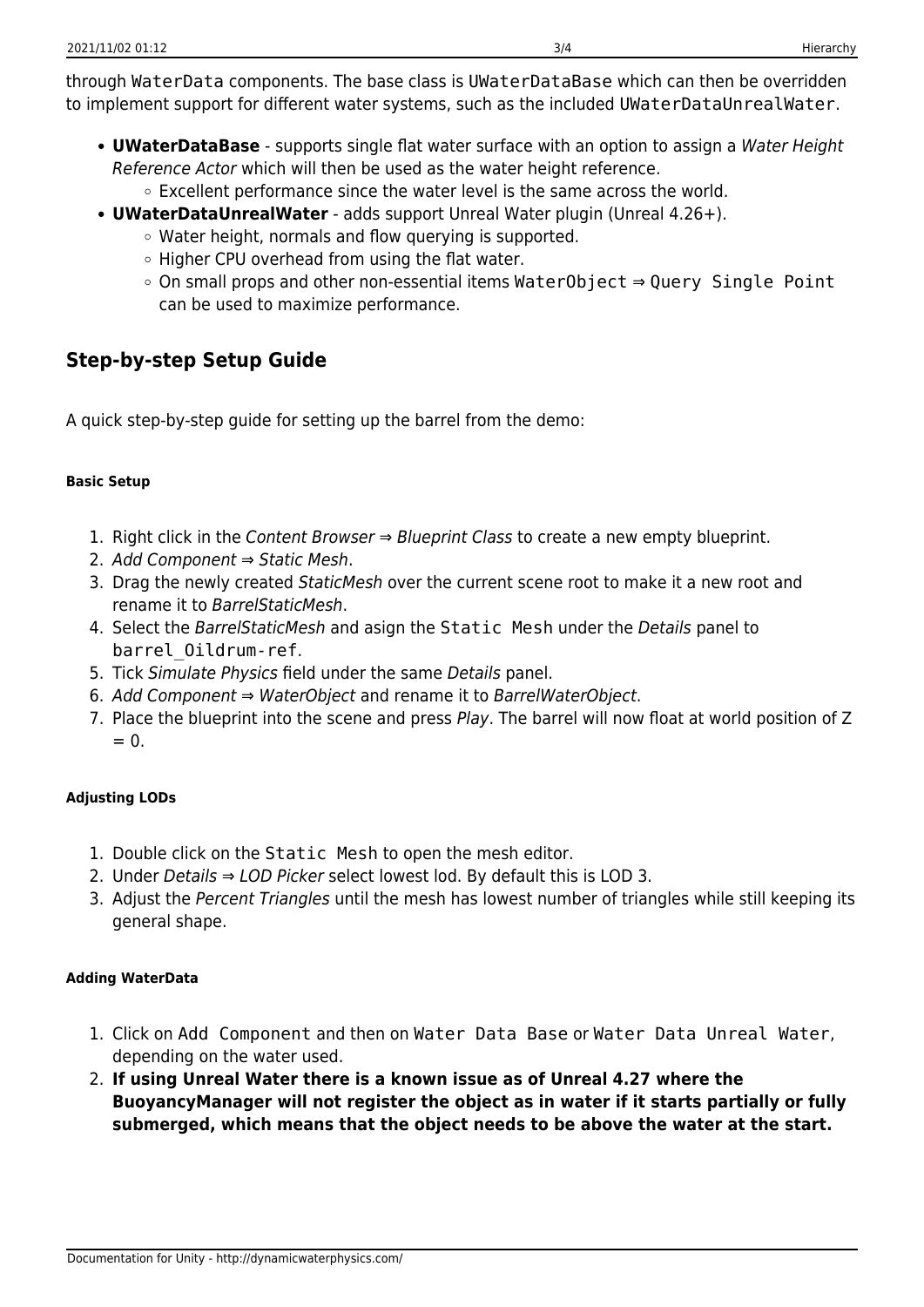through WaterData components. The base class is UWaterDataBase which can then be overridden to implement support for different water systems, such as the included UWaterDataUnrealWater.

- **UWaterDataBase** supports single flat water surface with an option to assign a Water Height Reference Actor which will then be used as the water height reference.
	- Excellent performance since the water level is the same across the world.
- **UWaterDataUnrealWater** adds support Unreal Water plugin (Unreal 4.26+).
	- Water height, normals and flow querying is supported.
	- Higher CPU overhead from using the flat water.
	- On small props and other non-essential items WaterObject ⇒ Query Single Point can be used to maximize performance.

## **Step-by-step Setup Guide**

A quick step-by-step guide for setting up the barrel from the demo:

### **Basic Setup**

- 1. Right click in the Content Browser  $\Rightarrow$  Blueprint Class to create a new empty blueprint.
- 2. Add Component ⇒ Static Mesh.
- 3. Drag the newly created StaticMesh over the current scene root to make it a new root and rename it to BarrelStaticMesh.
- 4. Select the BarrelStaticMesh and asign the Static Mesh under the Details panel to barrel\_Oildrum-ref.
- 5. Tick Simulate Physics field under the same Details panel.
- 6. Add Component ⇒ WaterObject and rename it to BarrelWaterObject.
- 7. Place the blueprint into the scene and press Play. The barrel will now float at world position of Z  $= 0$

### **Adjusting LODs**

- 1. Double click on the Static Mesh to open the mesh editor.
- 2. Under Details  $\Rightarrow$  LOD Picker select lowest lod. By default this is LOD 3.
- 3. Adjust the Percent Triangles until the mesh has lowest number of triangles while still keeping its general shape.

### **Adding WaterData**

- 1. Click on Add Component and then on Water Data Base or Water Data Unreal Water, depending on the water used.
- 2. **If using Unreal Water there is a known issue as of Unreal 4.27 where the BuoyancyManager will not register the object as in water if it starts partially or fully submerged, which means that the object needs to be above the water at the start.**